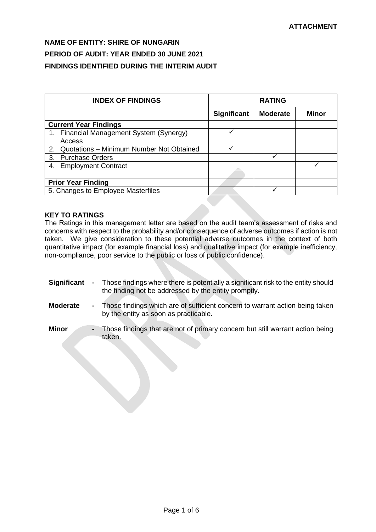| <b>INDEX OF FINDINGS</b>                       | <b>RATING</b>      |                 |       |
|------------------------------------------------|--------------------|-----------------|-------|
|                                                | <b>Significant</b> | <b>Moderate</b> | Minor |
| <b>Current Year Findings</b>                   |                    |                 |       |
| 1. Financial Management System (Synergy)       |                    |                 |       |
| Access                                         |                    |                 |       |
| Quotations - Minimum Number Not Obtained<br>2. |                    |                 |       |
| <b>Purchase Orders</b><br>3.                   |                    | ✓               |       |
| <b>Employment Contract</b><br>4.               |                    |                 |       |
|                                                |                    |                 |       |
| <b>Prior Year Finding</b>                      |                    |                 |       |
| 5. Changes to Employee Masterfiles             |                    |                 |       |

# **KEY TO RATINGS**

The Ratings in this management letter are based on the audit team's assessment of risks and concerns with respect to the probability and/or consequence of adverse outcomes if action is not taken. We give consideration to these potential adverse outcomes in the context of both quantitative impact (for example financial loss) and qualitative impact (for example inefficiency, non-compliance, poor service to the public or loss of public confidence).

- **Significant -** Those findings where there is potentially a significant risk to the entity should the finding not be addressed by the entity promptly.
- **Moderate -** Those findings which are of sufficient concern to warrant action being taken by the entity as soon as practicable.
- **Minor -** Those findings that are not of primary concern but still warrant action being taken.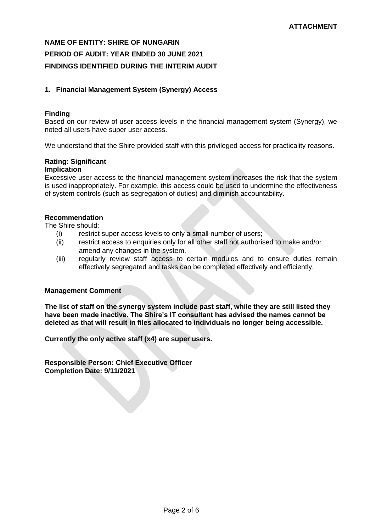# **1. Financial Management System (Synergy) Access**

### **Finding**

Based on our review of user access levels in the financial management system (Synergy), we noted all users have super user access.

We understand that the Shire provided staff with this privileged access for practicality reasons.

# **Rating: Significant**

# **Implication**

Excessive user access to the financial management system increases the risk that the system is used inappropriately. For example, this access could be used to undermine the effectiveness of system controls (such as segregation of duties) and diminish accountability.

### **Recommendation**

The Shire should:

- (i) restrict super access levels to only a small number of users;
- (ii) restrict access to enquiries only for all other staff not authorised to make and/or amend any changes in the system.
- (iii) regularly review staff access to certain modules and to ensure duties remain effectively segregated and tasks can be completed effectively and efficiently.

## **Management Comment**

**The list of staff on the synergy system include past staff, while they are still listed they have been made inactive. The Shire's IT consultant has advised the names cannot be deleted as that will result in files allocated to individuals no longer being accessible.** 

**Currently the only active staff (x4) are super users.**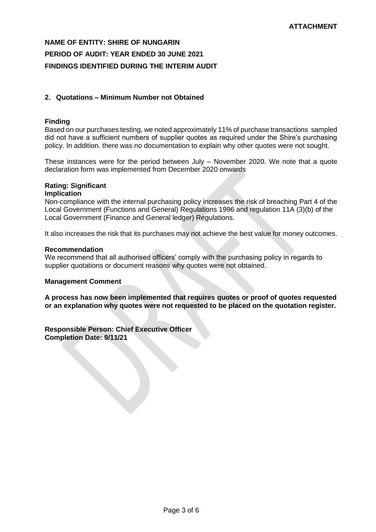## **2. Quotations – Minimum Number not Obtained**

# **Finding**

Based on our purchases testing, we noted approximately 11% of purchase transactions sampled did not have a sufficient numbers of supplier quotes as required under the Shire's purchasing policy. In addition. there was no documentation to explain why other quotes were not sought.

These instances were for the period between July – November 2020. We note that a quote declaration form was implemented from December 2020 onwards

# **Rating: Significant**

# **Implication**

Non-compliance with the internal purchasing policy increases the risk of breaching Part 4 of the Local Government (Functions and General) Regulations 1996 and regulation 11A (3)(b) of the Local Government (Finance and General ledger) Regulations.

It also increases the risk that its purchases may not achieve the best value for money outcomes.

### **Recommendation**

We recommend that all authorised officers' comply with the purchasing policy in regards to supplier quotations or document reasons why quotes were not obtained.

## **Management Comment**

**A process has now been implemented that requires quotes or proof of quotes requested or an explanation why quotes were not requested to be placed on the quotation register.**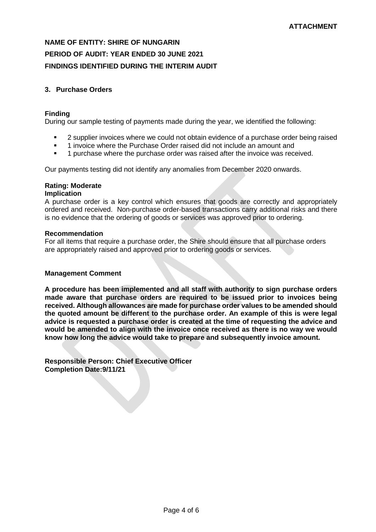# **3. Purchase Orders**

### **Finding**

During our sample testing of payments made during the year, we identified the following:

- 2 supplier invoices where we could not obtain evidence of a purchase order being raised
- 1 invoice where the Purchase Order raised did not include an amount and
- 1 purchase where the purchase order was raised after the invoice was received.

Our payments testing did not identify any anomalies from December 2020 onwards.

### **Rating: Moderate**

#### **Implication**

A purchase order is a key control which ensures that goods are correctly and appropriately ordered and received. Non-purchase order-based transactions carry additional risks and there is no evidence that the ordering of goods or services was approved prior to ordering.

#### **Recommendation**

For all items that require a purchase order, the Shire should ensure that all purchase orders are appropriately raised and approved prior to ordering goods or services.

#### **Management Comment**

**A procedure has been implemented and all staff with authority to sign purchase orders made aware that purchase orders are required to be issued prior to invoices being received. Although allowances are made for purchase order values to be amended should the quoted amount be different to the purchase order. An example of this is were legal advice is requested a purchase order is created at the time of requesting the advice and would be amended to align with the invoice once received as there is no way we would know how long the advice would take to prepare and subsequently invoice amount.**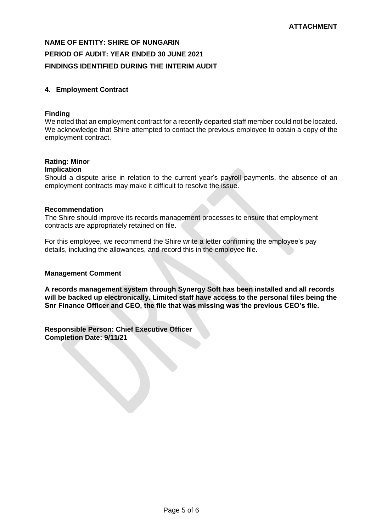## **4. Employment Contract**

### **Finding**

We noted that an employment contract for a recently departed staff member could not be located. We acknowledge that Shire attempted to contact the previous employee to obtain a copy of the employment contract.

# **Rating: Minor**

# **Implication**

Should a dispute arise in relation to the current year's payroll payments, the absence of an employment contracts may make it difficult to resolve the issue.

### **Recommendation**

The Shire should improve its records management processes to ensure that employment contracts are appropriately retained on file.

For this employee, we recommend the Shire write a letter confirming the employee's pay details, including the allowances, and record this in the employee file.

#### **Management Comment**

**A records management system through Synergy Soft has been installed and all records will be backed up electronically. Limited staff have access to the personal files being the Snr Finance Officer and CEO, the file that was missing was the previous CEO's file.**